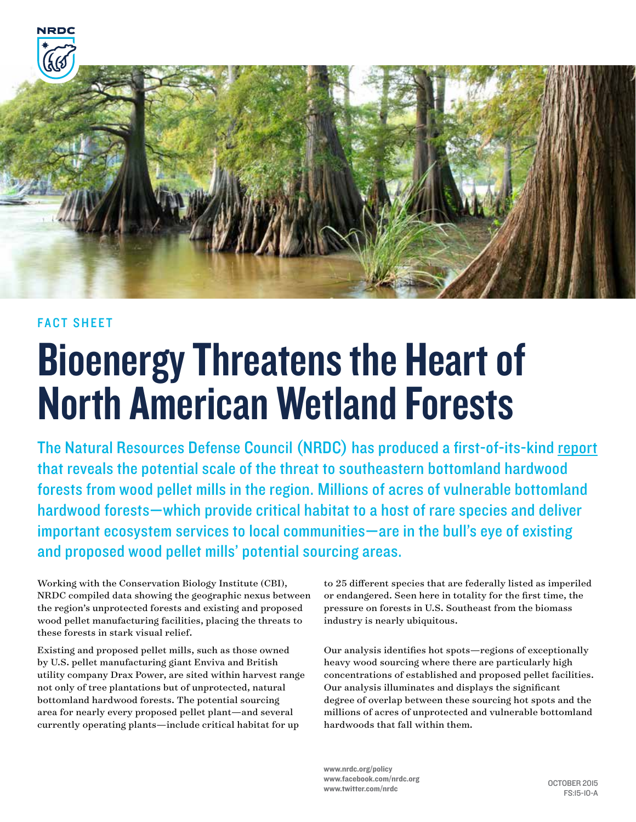

#### FACT SHEET

# Bioenergy Threatens the Heart of North American Wetland Forests

The Natural Resources Defense Council (NRDC) has produced a first-of-its-kind report that reveals the potential scale of the threat to southeastern bottomland hardwood forests from wood pellet mills in the region. Millions of acres of vulnerable bottomland hardwood forests—which provide critical habitat to a host of rare species and deliver important ecosystem services to local communities—are in the bull's eye of existing and proposed wood pellet mills' potential sourcing areas.

Working with the Conservation Biology Institute (CBI), NRDC compiled data showing the geographic nexus between the region's unprotected forests and existing and proposed wood pellet manufacturing facilities, placing the threats to these forests in stark visual relief.

Existing and proposed pellet mills, such as those owned by U.S. pellet manufacturing giant Enviva and British utility company Drax Power, are sited within harvest range not only of tree plantations but of unprotected, natural bottomland hardwood forests. The potential sourcing area for nearly every proposed pellet plant—and several currently operating plants—include critical habitat for up

to 25 different species that are federally listed as imperiled or endangered. Seen here in totality for the first time, the pressure on forests in U.S. Southeast from the biomass industry is nearly ubiquitous.

Our analysis identifies hot spots—regions of exceptionally heavy wood sourcing where there are particularly high concentrations of established and proposed pellet facilities. Our analysis illuminates and displays the significant degree of overlap between these sourcing hot spots and the millions of acres of unprotected and vulnerable bottomland hardwoods that fall within them.

www.nrdc.org/policy www.facebook.com/nrdc.org www.twitter.com/nrdc OCTOBER 2015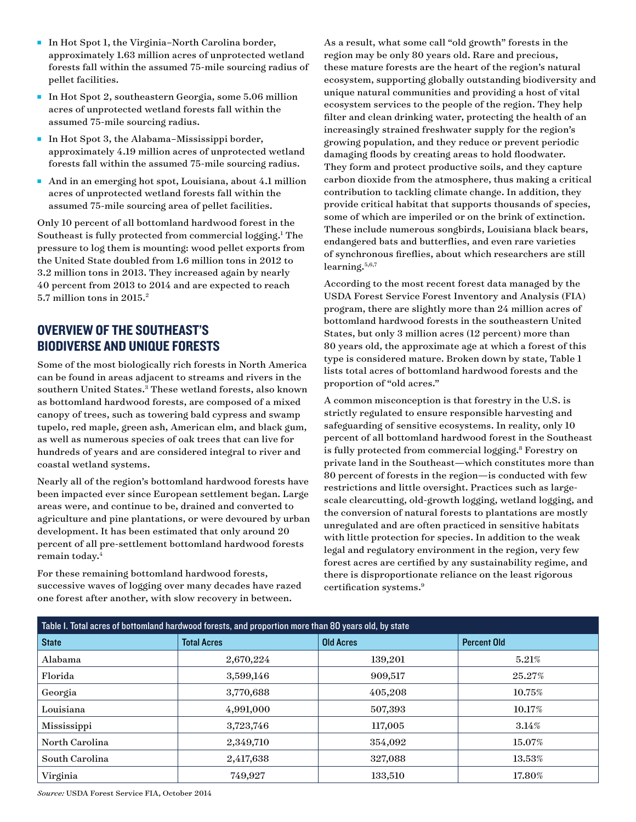- In Hot Spot 1, the Virginia–North Carolina border, approximately 1.63 million acres of unprotected wetland forests fall within the assumed 75-mile sourcing radius of pellet facilities.
- <sup>n</sup> In Hot Spot 2, southeastern Georgia, some 5.06 million acres of unprotected wetland forests fall within the assumed 75-mile sourcing radius.
- In Hot Spot 3, the Alabama–Mississippi border, approximately 4.19 million acres of unprotected wetland forests fall within the assumed 75-mile sourcing radius.
- n And in an emerging hot spot, Louisiana, about 4.1 million acres of unprotected wetland forests fall within the assumed 75-mile sourcing area of pellet facilities.

Only 10 percent of all bottomland hardwood forest in the Southeast is fully protected from commercial logging.<sup>1</sup> The pressure to log them is mounting: wood pellet exports from the United State doubled from 1.6 million tons in 2012 to 3.2 million tons in 2013. They increased again by nearly 40 percent from 2013 to 2014 and are expected to reach 5.7 million tons in 2015.2

#### OVERVIEW OF THE SOUTHEAST'S BIODIVERSE AND UNIQUE FORESTS

Some of the most biologically rich forests in North America can be found in areas adjacent to streams and rivers in the southern United States.<sup>3</sup> These wetland forests, also known as bottomland hardwood forests, are composed of a mixed canopy of trees, such as towering bald cypress and swamp tupelo, red maple, green ash, American elm, and black gum, as well as numerous species of oak trees that can live for hundreds of years and are considered integral to river and coastal wetland systems.

Nearly all of the region's bottomland hardwood forests have been impacted ever since European settlement began. Large areas were, and continue to be, drained and converted to agriculture and pine plantations, or were devoured by urban development. It has been estimated that only around 20 percent of all pre-settlement bottomland hardwood forests remain today.<sup>4</sup>

For these remaining bottomland hardwood forests, successive waves of logging over many decades have razed one forest after another, with slow recovery in between.

As a result, what some call "old growth" forests in the region may be only 80 years old. Rare and precious, these mature forests are the heart of the region's natural ecosystem, supporting globally outstanding biodiversity and unique natural communities and providing a host of vital ecosystem services to the people of the region. They help filter and clean drinking water, protecting the health of an increasingly strained freshwater supply for the region's growing population, and they reduce or prevent periodic damaging floods by creating areas to hold floodwater. They form and protect productive soils, and they capture carbon dioxide from the atmosphere, thus making a critical contribution to tackling climate change. In addition, they provide critical habitat that supports thousands of species, some of which are imperiled or on the brink of extinction. These include numerous songbirds, Louisiana black bears, endangered bats and butterflies, and even rare varieties of synchronous fireflies, about which researchers are still learning.<sup>5,6,7</sup>

According to the most recent forest data managed by the USDA Forest Service Forest Inventory and Analysis (FIA) program, there are slightly more than 24 million acres of bottomland hardwood forests in the southeastern United States, but only 3 million acres (12 percent) more than 80 years old, the approximate age at which a forest of this type is considered mature. Broken down by state, Table 1 lists total acres of bottomland hardwood forests and the proportion of "old acres."

A common misconception is that forestry in the U.S. is strictly regulated to ensure responsible harvesting and safeguarding of sensitive ecosystems. In reality, only 10 percent of all bottomland hardwood forest in the Southeast is fully protected from commercial logging.<sup>8</sup> Forestry on private land in the Southeast—which constitutes more than 80 percent of forests in the region—is conducted with few restrictions and little oversight. Practices such as largescale clearcutting, old-growth logging, wetland logging, and the conversion of natural forests to plantations are mostly unregulated and are often practiced in sensitive habitats with little protection for species. In addition to the weak legal and regulatory environment in the region, very few forest acres are certified by any sustainability regime, and there is disproportionate reliance on the least rigorous certification systems.9

| Table I. Total acres of bottomland hardwood forests, and proportion more than 80 years old, by state |                    |                  |                    |  |
|------------------------------------------------------------------------------------------------------|--------------------|------------------|--------------------|--|
| <b>State</b>                                                                                         | <b>Total Acres</b> | <b>Old Acres</b> | <b>Percent Old</b> |  |
| Alabama                                                                                              | 2,670,224          | 139,201          | 5.21%              |  |
| Florida                                                                                              | 3,599,146          | 909,517          | 25.27%             |  |
| Georgia                                                                                              | 3,770,688          | 405,208          | 10.75%             |  |
| Louisiana                                                                                            | 4,991,000          | 507,393          | 10.17%             |  |
| Mississippi                                                                                          | 3,723,746          | 117,005          | $3.14\%$           |  |
| North Carolina                                                                                       | 2,349,710          | 354,092          | 15.07%             |  |
| South Carolina                                                                                       | 2,417,638          | 327,088          | $13.53\%$          |  |
| Virginia                                                                                             | 749,927            | 133,510          | 17.80%             |  |

*Source:* USDA Forest Service FIA, October 2014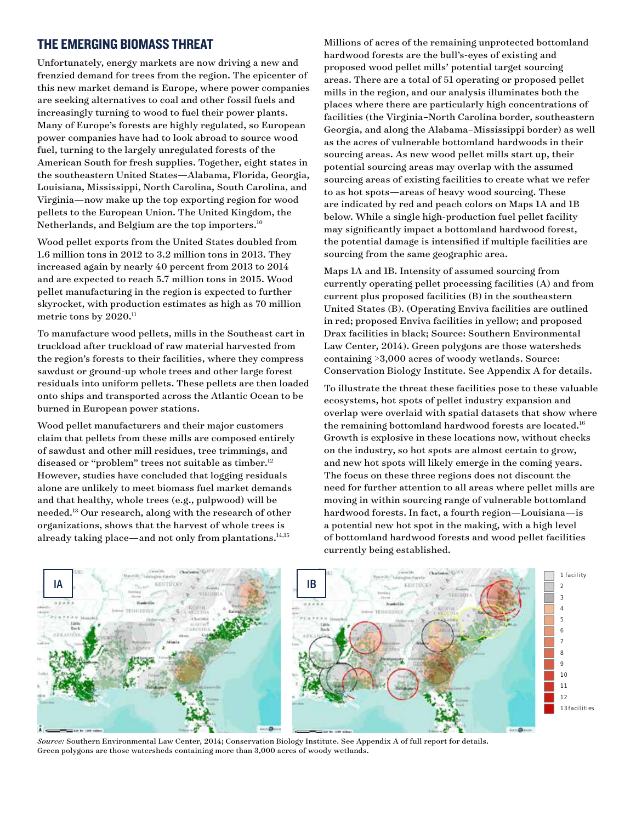#### THE EMERGING BIOMASS THREAT

Unfortunately, energy markets are now driving a new and frenzied demand for trees from the region. The epicenter of this new market demand is Europe, where power companies are seeking alternatives to coal and other fossil fuels and increasingly turning to wood to fuel their power plants. Many of Europe's forests are highly regulated, so European power companies have had to look abroad to source wood fuel, turning to the largely unregulated forests of the American South for fresh supplies. Together, eight states in the southeastern United States—Alabama, Florida, Georgia, Louisiana, Mississippi, North Carolina, South Carolina, and Virginia—now make up the top exporting region for wood pellets to the European Union. The United Kingdom, the Netherlands, and Belgium are the top importers.<sup>10</sup>

Wood pellet exports from the United States doubled from 1.6 million tons in 2012 to 3.2 million tons in 2013. They increased again by nearly 40 percent from 2013 to 2014 and are expected to reach 5.7 million tons in 2015. Wood pellet manufacturing in the region is expected to further skyrocket, with production estimates as high as 70 million metric tons by  $2020$ .<sup>11</sup>

To manufacture wood pellets, mills in the Southeast cart in truckload after truckload of raw material harvested from the region's forests to their facilities, where they compress sawdust or ground-up whole trees and other large forest residuals into uniform pellets. These pellets are then loaded onto ships and transported across the Atlantic Ocean to be burned in European power stations.

Wood pellet manufacturers and their major customers claim that pellets from these mills are composed entirely of sawdust and other mill residues, tree trimmings, and diseased or "problem" trees not suitable as timber.<sup>12</sup> However, studies have concluded that logging residuals alone are unlikely to meet biomass fuel market demands and that healthy, whole trees (e.g., pulpwood) will be needed.13 Our research, along with the research of other organizations, shows that the harvest of whole trees is already taking place—and not only from plantations.<sup>14,15</sup>

Millions of acres of the remaining unprotected bottomland hardwood forests are the bull's-eyes of existing and proposed wood pellet mills' potential target sourcing areas. There are a total of 51 operating or proposed pellet mills in the region, and our analysis illuminates both the places where there are particularly high concentrations of facilities (the Virginia–North Carolina border, southeastern Georgia, and along the Alabama–Mississippi border) as well as the acres of vulnerable bottomland hardwoods in their sourcing areas. As new wood pellet mills start up, their potential sourcing areas may overlap with the assumed sourcing areas of existing facilities to create what we refer to as hot spots—areas of heavy wood sourcing. These are indicated by red and peach colors on Maps 1A and 1B below. While a single high-production fuel pellet facility may significantly impact a bottomland hardwood forest, the potential damage is intensified if multiple facilities are sourcing from the same geographic area.

Maps 1A and 1B. Intensity of assumed sourcing from currently operating pellet processing facilities (A) and from current plus proposed facilities (B) in the southeastern United States (B). (Operating Enviva facilities are outlined in red; proposed Enviva facilities in yellow; and proposed Drax facilities in black; Source: Southern Environmental Law Center, 2014). Green polygons are those watersheds containing >3,000 acres of woody wetlands. Source: Conservation Biology Institute. See Appendix A for details.

To illustrate the threat these facilities pose to these valuable ecosystems, hot spots of pellet industry expansion and overlap were overlaid with spatial datasets that show where  $\frac{1}{2}$ the remaining bottomland hardwood forests are located. $^{\rm 16}$ Growth is explosive in these locations now, without checks on the industry, so hot spots are almost certain to grow, and new hot spots will likely emerge in the coming years. The focus on these three regions does not discount the need for further attention to all areas where pellet mills are  $\mod$  moving in within sourcing range of vulnerable bottomland hardwood forests. In fact, a fourth region—Louisiana—is a potential new hot spot in the making, with a high level of bottomland hardwood forests and wood pellet facilities<br>currently being established. currently being established.



*Source:* Southern Environmental Law Center, 2014; Conservation Biology Institute. See Appendix A of full report for details. Green polygons are those watersheds containing more than 3,000 acres of woody wetlands.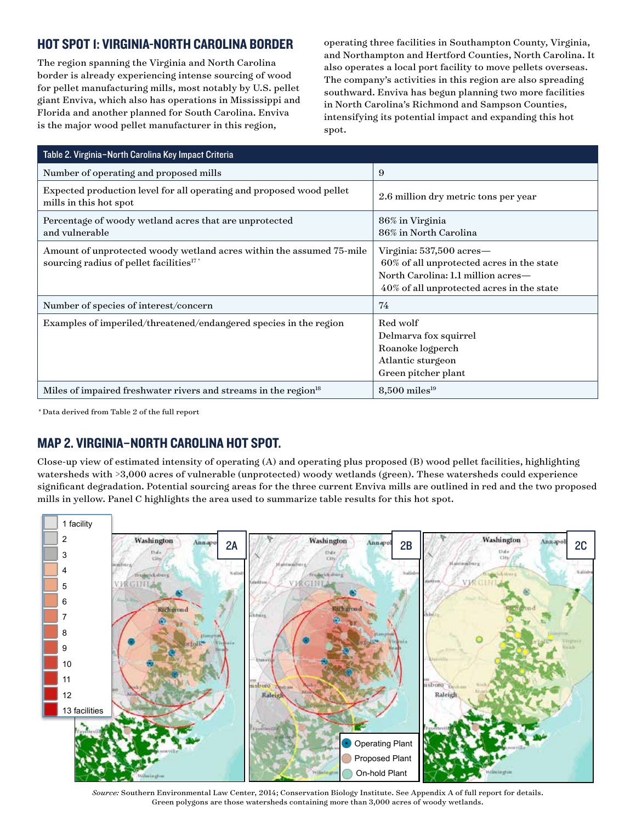## HOT SPOT 1: VIRGINIA-NORTH CAROLINA BORDER

The region spanning the Virginia and North Carolina border is already experiencing intense sourcing of wood for pellet manufacturing mills, most notably by U.S. pellet giant Enviva, which also has operations in Mississippi and Florida and another planned for South Carolina. Enviva is the major wood pellet manufacturer in this region,

operating three facilities in Southampton County, Virginia, and Northampton and Hertford Counties, North Carolina. It also operates a local port facility to move pellets overseas. The company's activities in this region are also spreading southward. Enviva has begun planning two more facilities in North Carolina's Richmond and Sampson Counties, intensifying its potential impact and expanding this hot spot.

| Table 2. Virginia-North Carolina Key Impact Criteria                                                                        |                                                                                                                                                          |
|-----------------------------------------------------------------------------------------------------------------------------|----------------------------------------------------------------------------------------------------------------------------------------------------------|
| Number of operating and proposed mills                                                                                      | 9                                                                                                                                                        |
| Expected production level for all operating and proposed wood pellet<br>mills in this hot spot                              | 2.6 million dry metric tons per year                                                                                                                     |
| Percentage of woody wetland acres that are unprotected<br>and vulnerable                                                    | 86% in Virginia<br>86% in North Carolina                                                                                                                 |
| Amount of unprotected woody wetland acres within the assumed 75-mile<br>sourcing radius of pellet facilities <sup>17*</sup> | Virginia: 537,500 acres—<br>60% of all unprotected acres in the state<br>North Carolina: 1.1 million acres-<br>40% of all unprotected acres in the state |
| Number of species of interest/concern                                                                                       | 74                                                                                                                                                       |
| Examples of imperiled/threatened/endangered species in the region                                                           | Red wolf<br>Delmarya fox squirrel<br>Roanoke logperch<br>Atlantic sturgeon<br>Green pitcher plant                                                        |
| Miles of impaired freshwater rivers and streams in the region <sup>18</sup>                                                 | $8,500$ miles <sup>19</sup>                                                                                                                              |

*\** Data derived from Table 2 of the full report

## MAP 2. VIRGINIA–NORTH CAROLINA HOT SPOT.

Close-up view of estimated intensity of operating (A) and operating plus proposed (B) wood pellet facilities, highlighting watersheds with >3,000 acres of vulnerable (unprotected) woody wetlands (green). These watersheds could experience significant degradation. Potential sourcing areas for the three current Enviva mills are outlined in red and the two proposed mills in yellow. Panel C highlights the area used to summarize table results for this hot spot.



*Source:* Southern Environmental Law Center, 2014; Conservation Biology Institute. See Appendix A of full report for details. Green polygons are those watersheds containing more than 3,000 acres of woody wetlands.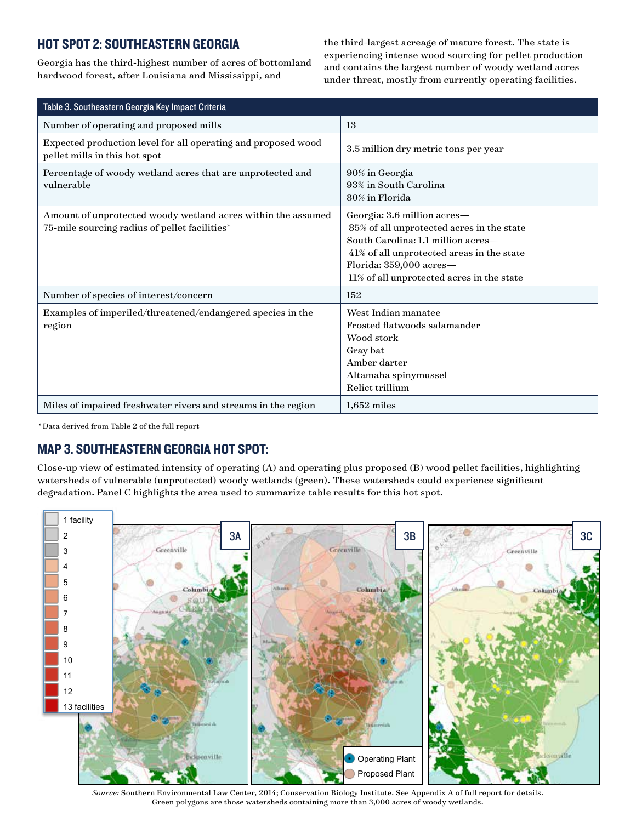## HOT SPOT 2: SOUTHEASTERN GEORGIA

Georgia has the third-highest number of acres of bottomland hardwood forest, after Louisiana and Mississippi, and

the third-largest acreage of mature forest. The state is experiencing intense wood sourcing for pellet production and contains the largest number of woody wetland acres under threat, mostly from currently operating facilities.

| Table 3. Southeastern Georgia Key Impact Criteria                                                             |                                                                                                                                                                                                                                     |  |
|---------------------------------------------------------------------------------------------------------------|-------------------------------------------------------------------------------------------------------------------------------------------------------------------------------------------------------------------------------------|--|
| Number of operating and proposed mills                                                                        | 13                                                                                                                                                                                                                                  |  |
| Expected production level for all operating and proposed wood<br>pellet mills in this hot spot                | 3.5 million dry metric tons per year                                                                                                                                                                                                |  |
| Percentage of woody wetland acres that are unprotected and<br>vulnerable                                      | 90% in Georgia<br>93% in South Carolina<br>80% in Florida                                                                                                                                                                           |  |
| Amount of unprotected woody wetland acres within the assumed<br>75-mile sourcing radius of pellet facilities* | Georgia: 3.6 million acres-<br>85% of all unprotected acres in the state<br>South Carolina: 1.1 million acres-<br>41% of all unprotected areas in the state<br>Florida: 359,000 acres-<br>11% of all unprotected acres in the state |  |
| Number of species of interest/concern                                                                         | 152                                                                                                                                                                                                                                 |  |
| Examples of imperiled/threatened/endangered species in the<br>region                                          | West Indian manatee<br>Frosted flatwoods salamander<br>Wood stork<br>Gray bat<br>Amber darter<br>Altamaha spinymussel<br>Relict trillium                                                                                            |  |
| Miles of impaired freshwater rivers and streams in the region                                                 | $1,652$ miles                                                                                                                                                                                                                       |  |

*\** Data derived from Table 2 of the full report

## MAP 3. SOUTHEASTERN GEORGIA HOT SPOT:

Close-up view of estimated intensity of operating (A) and operating plus proposed (B) wood pellet facilities, highlighting watersheds of vulnerable (unprotected) woody wetlands (green). These watersheds could experience significant degradation. Panel C highlights the area used to summarize table results for this hot spot.



*Source:* Southern Environmental Law Center, 2014; Conservation Biology Institute. See Appendix A of full report for details. Green polygons are those watersheds containing more than 3,000 acres of woody wetlands.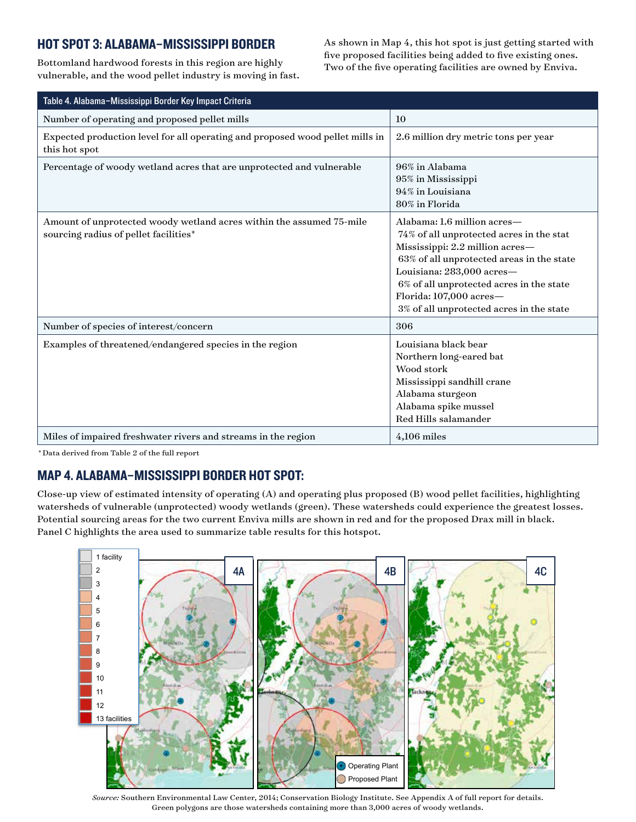#### HOT SPOT 3: ALABAMA–MISSISSIPPI BORDER

Bottomland hardwood forests in this region are highly vulnerable, and the wood pellet industry is moving in fast. As shown in Map 4, this hot spot is just getting started with five proposed facilities being added to five existing ones. Two of the five operating facilities are owned by Enviva.

| Table 4. Alabama-Mississippi Border Key Impact Criteria                                                       |                                                                                                                                                                                                                                                                                                         |
|---------------------------------------------------------------------------------------------------------------|---------------------------------------------------------------------------------------------------------------------------------------------------------------------------------------------------------------------------------------------------------------------------------------------------------|
| Number of operating and proposed pellet mills                                                                 | 10                                                                                                                                                                                                                                                                                                      |
| Expected production level for all operating and proposed wood pellet mills in<br>this hot spot                | 2.6 million dry metric tons per year                                                                                                                                                                                                                                                                    |
| Percentage of woody wetland acres that are unprotected and vulnerable                                         | 96% in Alabama<br>95% in Mississippi<br>94% in Louisiana<br>80% in Florida                                                                                                                                                                                                                              |
| Amount of unprotected woody wetland acres within the assumed 75-mile<br>sourcing radius of pellet facilities* | Alabama: 1.6 million acres-<br>74% of all unprotected acres in the stat<br>Mississippi: 2.2 million acres-<br>63% of all unprotected areas in the state<br>Louisiana: 283,000 acres-<br>6% of all unprotected acres in the state<br>Florida: 107,000 acres-<br>3% of all unprotected acres in the state |
| Number of species of interest/concern                                                                         | 306                                                                                                                                                                                                                                                                                                     |
| Examples of threatened/endangered species in the region                                                       | Louisiana black bear<br>Northern long-eared bat<br>Wood stork<br>Mississippi sandhill crane<br>Alabama sturgeon<br>Alabama spike mussel<br>Red Hills salamander                                                                                                                                         |
| Miles of impaired freshwater rivers and streams in the region                                                 | $4,106$ miles                                                                                                                                                                                                                                                                                           |

*\** Data derived from Table 2 of the full report

## MAP 4. ALABAMA–MISSISSIPPI BORDER HOT SPOT:

Close-up view of estimated intensity of operating (A) and operating plus proposed (B) wood pellet facilities, highlighting watersheds of vulnerable (unprotected) woody wetlands (green). These watersheds could experience the greatest losses. Potential sourcing areas for the two current Enviva mills are shown in red and for the proposed Drax mill in black. Panel C highlights the area used to summarize table results for this hotspot.



*Source:* Southern Environmental Law Center, 2014; Conservation Biology Institute. See Appendix A of full report for details. Green polygons are those watersheds containing more than 3,000 acres of woody wetlands.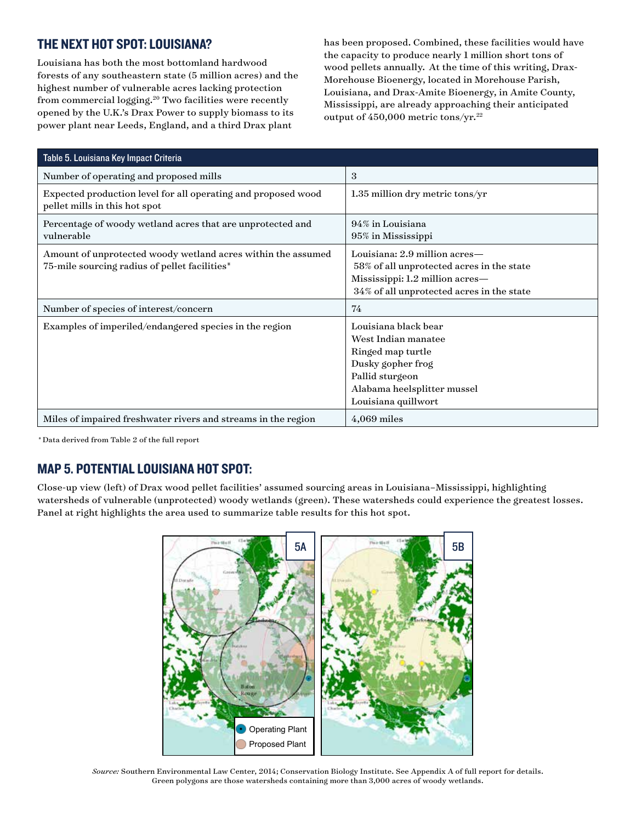## THE NEXT HOT SPOT: LOUISIANA?

Louisiana has both the most bottomland hardwood forests of any southeastern state (5 million acres) and the highest number of vulnerable acres lacking protection from commercial logging.<sup>20</sup> Two facilities were recently opened by the U.K.'s Drax Power to supply biomass to its power plant near Leeds, England, and a third Drax plant

has been proposed. Combined, these facilities would have the capacity to produce nearly 1 million short tons of wood pellets annually. At the time of this writing, Drax-Morehouse Bioenergy, located in Morehouse Parish, Louisiana, and Drax-Amite Bioenergy, in Amite County, Mississippi, are already approaching their anticipated output of 450,000 metric tons/yr.<sup>22</sup>

| Table 5. Louisiana Key Impact Criteria                                                                        |                                                                                                                                                                |
|---------------------------------------------------------------------------------------------------------------|----------------------------------------------------------------------------------------------------------------------------------------------------------------|
| Number of operating and proposed mills                                                                        | 3                                                                                                                                                              |
| Expected production level for all operating and proposed wood<br>pellet mills in this hot spot                | $1.35$ million dry metric tons/yr                                                                                                                              |
| Percentage of woody wetland acres that are unprotected and<br>vulnerable                                      | 94% in Louisiana<br>95% in Mississippi                                                                                                                         |
| Amount of unprotected woody wetland acres within the assumed<br>75-mile sourcing radius of pellet facilities* | Louisiana: 2.9 million acres—<br>58% of all unprotected acres in the state<br>Mississippi: 1.2 million acres-<br>34% of all unprotected acres in the state     |
| Number of species of interest/concern                                                                         | 74                                                                                                                                                             |
| Examples of imperiled/endangered species in the region                                                        | Louisiana black bear<br>West Indian manatee<br>Ringed map turtle<br>Dusky gopher frog<br>Pallid sturgeon<br>Alabama heelsplitter mussel<br>Louisiana quillwort |
| Miles of impaired freshwater rivers and streams in the region                                                 | $4,069$ miles                                                                                                                                                  |

*\** Data derived from Table 2 of the full report

## MAP 5. POTENTIAL LOUISIANA HOT SPOT:

Close-up view (left) of Drax wood pellet facilities' assumed sourcing areas in Louisiana–Mississippi, highlighting watersheds of vulnerable (unprotected) woody wetlands (green). These watersheds could experience the greatest losses. Panel at right highlights the area used to summarize table results for this hot spot.



*Source:* Southern Environmental Law Center, 2014; Conservation Biology Institute. See Appendix A of full report for details. Green polygons are those watersheds containing more than 3,000 acres of woody wetlands.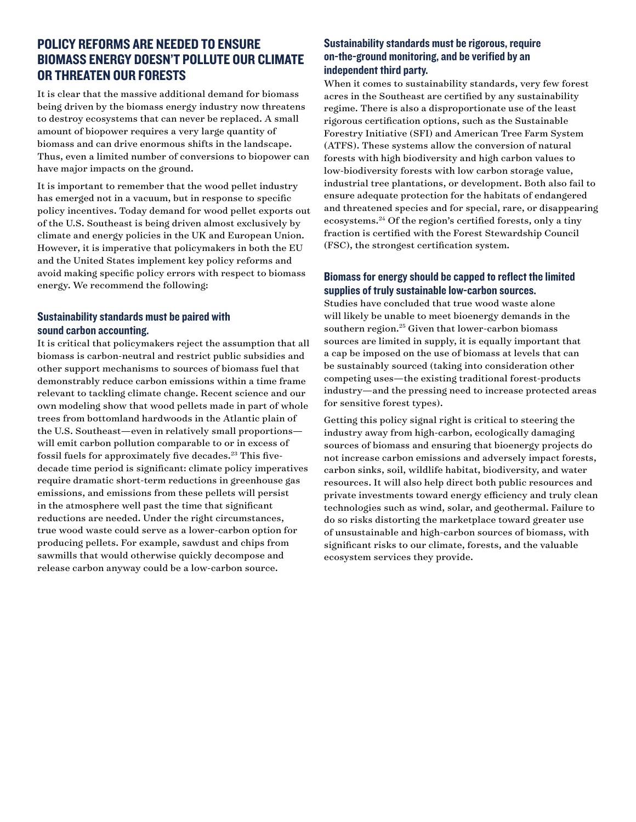#### POLICY REFORMS ARE NEEDED TO ENSURE BIOMASS ENERGY DOESN'T POLLUTE OUR CLIMATE OR THREATEN OUR FORESTS

It is clear that the massive additional demand for biomass being driven by the biomass energy industry now threatens to destroy ecosystems that can never be replaced. A small amount of biopower requires a very large quantity of biomass and can drive enormous shifts in the landscape. Thus, even a limited number of conversions to biopower can have major impacts on the ground.

It is important to remember that the wood pellet industry has emerged not in a vacuum, but in response to specific policy incentives. Today demand for wood pellet exports out of the U.S. Southeast is being driven almost exclusively by climate and energy policies in the UK and European Union. However, it is imperative that policymakers in both the EU and the United States implement key policy reforms and avoid making specific policy errors with respect to biomass energy. We recommend the following:

#### Sustainability standards must be paired with sound carbon accounting.

It is critical that policymakers reject the assumption that all biomass is carbon-neutral and restrict public subsidies and other support mechanisms to sources of biomass fuel that demonstrably reduce carbon emissions within a time frame relevant to tackling climate change. Recent science and our own modeling show that wood pellets made in part of whole trees from bottomland hardwoods in the Atlantic plain of the U.S. Southeast—even in relatively small proportions will emit carbon pollution comparable to or in excess of fossil fuels for approximately five decades.<sup>23</sup> This fivedecade time period is significant: climate policy imperatives require dramatic short-term reductions in greenhouse gas emissions, and emissions from these pellets will persist in the atmosphere well past the time that significant reductions are needed. Under the right circumstances, true wood waste could serve as a lower-carbon option for producing pellets. For example, sawdust and chips from sawmills that would otherwise quickly decompose and release carbon anyway could be a low-carbon source.

#### Sustainability standards must be rigorous, require on-the-ground monitoring, and be verified by an independent third party.

When it comes to sustainability standards, very few forest acres in the Southeast are certified by any sustainability regime. There is also a disproportionate use of the least rigorous certification options, such as the Sustainable Forestry Initiative (SFI) and American Tree Farm System (ATFS). These systems allow the conversion of natural forests with high biodiversity and high carbon values to low-biodiversity forests with low carbon storage value, industrial tree plantations, or development. Both also fail to ensure adequate protection for the habitats of endangered and threatened species and for special, rare, or disappearing ecosystems.24 Of the region's certified forests, only a tiny fraction is certified with the Forest Stewardship Council (FSC), the strongest certification system.

#### Biomass for energy should be capped to reflect the limited supplies of truly sustainable low-carbon sources.

Studies have concluded that true wood waste alone will likely be unable to meet bioenergy demands in the southern region. $25$  Given that lower-carbon biomass sources are limited in supply, it is equally important that a cap be imposed on the use of biomass at levels that can be sustainably sourced (taking into consideration other competing uses—the existing traditional forest-products industry—and the pressing need to increase protected areas for sensitive forest types).

Getting this policy signal right is critical to steering the industry away from high-carbon, ecologically damaging sources of biomass and ensuring that bioenergy projects do not increase carbon emissions and adversely impact forests, carbon sinks, soil, wildlife habitat, biodiversity, and water resources. It will also help direct both public resources and private investments toward energy efficiency and truly clean technologies such as wind, solar, and geothermal. Failure to do so risks distorting the marketplace toward greater use of unsustainable and high-carbon sources of biomass, with significant risks to our climate, forests, and the valuable ecosystem services they provide.